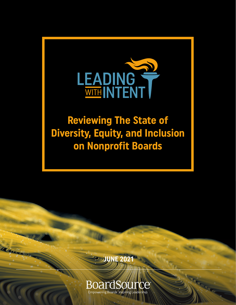

# **Reviewing The State of Diversity, Equity, and Inclusion on Nonprofit Boards**



Care

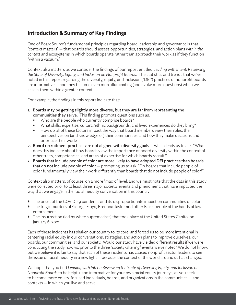# Introduction & Summary of Key Findings

One of BoardSource's fundamental principles regarding board leadership and governance is that "context matters" — that boards should assess opportunities, strategies, and action plans *within the context* and ecosystems in which boards operate rather than approach their work as if they function "within a vacuum."

Context also matters as we consider the findings of our report entitled *Leading with Intent: Reviewing the State of Diversity, Equity, and Inclusion on Nonprofit Boards*. The statistics and trends that we've noted in this report regarding the diversity, equity, and inclusion ("DEI") practices of nonprofit boards are informative — and they become even more illuminating (and evoke more questions) when we assess them within a greater context.

For example, the findings in this report indicate that:

- 1. Boards may be getting slightly more diverse, but they are far from representing the communities they serve. This finding prompts questions such as:
	- Who are the people who currently comprise boards?
	- What skills, expertise, cultural/ethnic backgrounds, and lived experiences do they bring?
	- How do all of these factors impact the way that board members view their roles, their perspectives on (and knowledge of) their communities, and how they make decisions and prioritize their work?
- 2. Board recruitment practices are not aligned with diversity goals which leads us to ask, "What does this indicate about how boards view the importance of board diversity within the context of other traits, competencies, and areas of expertise for which boards recruit?"
- 3. Boards that include people of color are more likely to have adopted DEI practices than boards that do not include people of color — prompting us to ask, "Do boards that include people of color fundamentally view their work differently than boards that do not include people of color?"

Context also matters, of course, on a more "macro" level, and we must note that the data in this study were collected prior to at least three major societal events and phenomena that have impacted the way that we engage in the racial inequity conversation in this country:

- $\blacktriangleright$  The onset of the COVID-19 pandemic and its disproportionate impact on communities of color
- The tragic murders of George Floyd, Breonna Taylor and other Black people at the hands of law enforcement
- $\blacktriangleright$  The insurrection (led by white supremacists) that took place at the United States Capitol on January 6, 2021

Each of these incidents has shaken our country to its core, and forced us to be more intentional in centering racial equity in our conversations, strategies, and action plans to improve ourselves, our boards, our communities, and our society. Would our study have yielded different results if we were conducting the study now vs. prior to the three "society-altering" events we've noted? We do not know, but we believe it is fair to say that each of these incidents has caused nonprofit sector leaders to see the issue of racial inequity in a new light — because the context of the world around us has changed.

We hope that you find *Leading with Intent: Reviewing the State of Diversity, Equity, and Inclusion on Nonprofit Boards* to be helpful and informative for your own racial equity journeys, as you seek to become more equity-focused individuals, boards, and organizations in the communities — and contexts — in which you live and serve.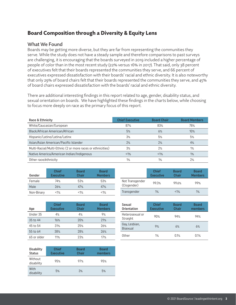# Board Composition through a Diversity & Equity Lens

#### What We Found

Boards may be getting more diverse, but they are far from representing the communities they serve. While the study does not have a steady sample and therefore comparisons to past surveys are challenging, it is encouraging that the boards surveyed in 2019 included a higher percentage of people of color than in the most recent study (22% versus 16% in 2017). That said, only 38 percent of executives felt that their boards represented the communities they serve, and 66 percent of executives expressed dissatisfaction with their boards' racial and ethnic diversity. It is also noteworthy that only 29% of board chairs felt that their boards represented the communities they serve, and 45% of board chairs expressed dissatisfaction with the boards' racial and ethnic diversity.

There are additional interesting findings in this report related to age, gender, disability status, and sexual orientation on boards. We have highlighted these findings in the charts below, while choosing to focus more deeply on race as the primary focus of this report.

| Race & Ethnicity                                           | <b>Chief Executive</b> | <b>Board Chair</b> | <b>Board Members</b> |
|------------------------------------------------------------|------------------------|--------------------|----------------------|
| White/Caucasian/European                                   | 87%                    | 83%                | 78%                  |
| Black/African American/African                             | 5%                     | 6%                 | 10%                  |
| Hispanic/Latino/Latina/Latinx                              | 3%                     | 5%                 | 5%                   |
| Asian/Asian American/Pacific Islander                      | 2%                     | 2%                 | 4%                   |
| Multi-Racial/Multi-Ethnic (2 or more races or ethnicities) | 3%                     | 2%                 | 1%                   |
| Native America/American Indian/Indigenous                  | $<$ 1%                 | <1%                | 1%                   |
| Other race/ethnicity                                       | 1%                     | 1%                 | 2%                   |

Not Transgender

| Gender     | <b>Chief</b><br><b>Executive</b> | <b>Board</b><br>Chair | <b>Board</b><br><b>Members</b> |
|------------|----------------------------------|-----------------------|--------------------------------|
| Female     | 74%                              | 53%                   | 53%                            |
| Male       | 26%                              | 47%                   | 47%                            |
| Non-Binary | <1%                              | <1%                   | <1%                            |

| Age         | Chief<br><b>Executive</b> | <b>Board</b><br>Chair | <b>Board</b><br><b>Members</b> |
|-------------|---------------------------|-----------------------|--------------------------------|
| Under 35    | 4%                        | 4%                    | 9%                             |
| 35 to 44    | 16%                       | 20%                   | 21%                            |
| 45 to 54    | 31%                       | 25%                   | 26%                            |
| 55 to 64    | 38%                       | 28%                   | 26%                            |
| 65 or older | 11%                       | 23%                   | 17%                            |

| Sexual<br><b>Orientation</b> | <b>Chief</b><br><b>Executive</b> | <b>Board</b><br>Chair | <b>Board</b><br>members |
|------------------------------|----------------------------------|-----------------------|-------------------------|
| Heterosexual or<br>Straight  | 90%                              | 94%                   | 94%                     |
| Gay, Lesbian,<br>Bisexual    | 9%                               | 6%                    | 6%                      |

Other 1% 0.1% 0.1%

Chief Executive

(Cisgender) 99.3% 99.6% 99% Transgender 1% <1% 1%

Board **Chair** 

Board Members

| <b>Disability</b><br><b>Status</b> | <b>Chief</b><br><b>Executive</b> | <b>Board</b><br>Chair | Board<br>members |
|------------------------------------|----------------------------------|-----------------------|------------------|
| Without<br>disability              | 95%                              | 97%                   | 95%              |
| With<br>disability                 | 5%                               | 3%                    | 5%               |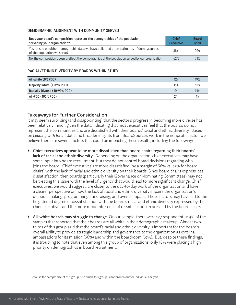#### DEMOGRAPHIC ALIGNMENT WITH COMMUNITY SERVED

| Does your board's composition represent the demographics of the population<br>served by your organization?             | <b>Chief</b><br><b>Executive</b> | <b>Board</b><br>Chair |
|------------------------------------------------------------------------------------------------------------------------|----------------------------------|-----------------------|
| Yes (based on either demographic data we have collected or on estimates of demographics<br>of the population we serve) | 38%                              | 79%                   |
| No, the composition doesn't reflect the demographics of the population served by our organization                      | 62%                              | 71%                   |

#### RACIAL/ETHNIC DIVERSITY BY BOARDS WITHIN STUDY

| All-White (0% POC)            | $12^{\circ}$      | 19% |
|-------------------------------|-------------------|-----|
| Majority White (1-39% POC)    | 414               | 63% |
| Racially Diverse (40-99% POC) | $Q_{\mathcal{A}}$ | 14% |
| All-POC (100% POC)            | 241               | 4%  |

#### Takeaways for Further Consideration

It may seem surprising (and disappointing) that the sector's progress in becoming more diverse has been relatively minor, given the data indicating that most executives feel that the boards do not represent the communities and are dissatisfied with their boards' racial and ethnic diversity. Based on *Leading with Intent* data and broader insights from BoardSource's work in the nonprofit sector, we believe there are several factors that could be impacting these results, including the following:

- Chief executives appear to be more dissatisfied than board chairs regarding their boards' lack of racial and ethnic diversity. Depending on the organization, chief executives may have some input into board recruitment, but they do not control board decisions regarding who joins the board. Chief executives are more dissatisfied (by a margin of 66% vs. 45% for board chairs) with the lack of racial and ethnic diversity on their boards. Since board chairs express less dissatisfaction, then boards (particularly their Governance or Nominating Committees) may not be treating this issue with the level of urgency that would lead to more significant change. Chief executives, we would suggest, are closer to the day-to-day work of the organization and have a clearer perspective on how the lack of racial and ethnic diversity impairs the organization's decision-making, programming, fundraising, and overall impact. These factors may have led to the heightened degree of dissatisfaction with the board's racial and ethnic diversity expressed by the chief executives and the more moderate sense of dissatisfaction expressed by the board chairs.
- $\blacktriangleright$  All-white boards may struggle to change. Of our sample, there were 127 respondents (19% of the sample) that reported that their boards are all white in their demographic makeup. Almost twothirds of this group said that the board's racial and ethnic diversity is important for the board's overall ability to provide strategic leadership and governance to the organization as external ambassadors for its mission (66%) and within the boardroom (67%). But, despite these findings, it is troubling to note that even among this group of organizations, only 18% were placing a high priority on demographics in board recruitment.

<sup>1</sup> Because the sample size of this group is so small, this group is not broken out for individual analysis.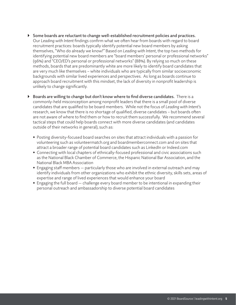- $\triangleright$  Some boards are reluctant to change well-established recruitment policies and practices. Our *Leading with Intent* findings confirm what we often hear from boards with regard to board recruitment practices: boards typically identify potential new board members by asking themselves, "Who do already we know?" Based on *Leading with Intent*, the top two methods for identifying potential new board members are "board members' personal or professional networks" (96%) and "CEO/ED's personal or professional networks" (88%). By relying so much on these methods, boards that are predominantly white are more likely to identify board candidates that are very much like themselves – white individuals who are typically from similar socioeconomic backgrounds with similar lived experiences and perspectives. As long as boards continue to approach board recruitment with this mindset, the lack of diversity in nonprofit leadership is unlikely to change significantly.
- Boards are willing to change but don't know where to find diverse candidates. There is a commonly-held misconception among nonprofit leaders that there is a small pool of diverse candidates that are qualified to be board members. While not the focus of *Leading with Intent*'s research, we know that there is no shortage of qualified, diverse candidates – but boards often are not aware of where to find them or how to recruit them successfully. We recommend several tactical steps that could help boards connect with more diverse candidates (and candidates outside of their networks in general), such as:
	- Posting diversity-focused board searches on sites that attract individuals with a passion for volunteering such as volunteermatch.org and boardmemberconnect.com and on sites that attract a broader range of potential board candidates such as LinkedIn or Indeed.com
	- Connecting with local chapters of ethnically-focused professional and civic associations such as the National Black Chamber of Commerce, the Hispanic National Bar Association, and the National Black MBA Association
	- Engaging staff members particularly those who are involved in external outreach and may identify individuals from other organizations who exhibit the ethnic diversity, skills sets, areas of expertise and range of lived experiences that would enhance your board
	- Engaging the full board challenge every board member to be intentional in expanding their personal outreach and ambassadorship to diverse potential board candidates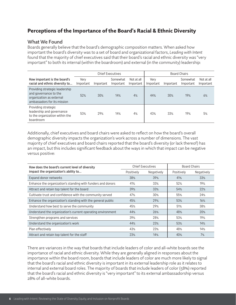# Perceptions of the Importance of the Board's Racial & Ethnic Diversity

#### What We Found

Boards generally believe that the board's demographic composition matters. When asked how important the board's diversity was to a set of board and organizational factors, *Leading with Intent* found that the majority of chief executives said that their board's racial and ethnic diversity was "very important" to both its internal (within the boardroom) and external (in the community) leadership:

|                                                                                                                    | <b>Chief Executives</b> |           |                       |                         |                          | <b>Board Chairs</b> |                       |                                |
|--------------------------------------------------------------------------------------------------------------------|-------------------------|-----------|-----------------------|-------------------------|--------------------------|---------------------|-----------------------|--------------------------------|
| How important is the board's<br>racial and ethnic diversity to                                                     | Verv<br>Important       | Important | Somewhat<br>Important | Not at all<br>Important | Verv<br><i>Important</i> | Important           | Somewhat<br>Important | Not at all<br><i>Important</i> |
| Providing strategic leadership<br>and governance to the<br>organization as external<br>ambassadors for its mission | 52%                     | 30%       | 14%                   | 4%                      | 44%                      | 30%                 | 19%                   | 6%                             |
| Providing strategic<br>leadership and governance<br>to the organization within the<br>boardroom                    | 53%                     | 29%       | 14%                   | 4%                      | 43%                      | 33%                 | 19%                   | 5%                             |

Additionally, chief executives and board chairs were asked to reflect on how the board's overall demographic diversity impacts the organization's work across a number of dimensions. The vast majority of chief executives and board chairs reported that the board's diversity (or lack thereof) has an impact, but this includes significant feedback about the ways in which that impact can be negative versus positive:

| How does the board's current level of diversity             |            | <b>Chief Executives</b> | <b>Board Chairs</b> |            |
|-------------------------------------------------------------|------------|-------------------------|---------------------|------------|
| impact the organization's ability to                        | Positively | Negatively              | Positively          | Negatively |
| <b>Expand donor networks</b>                                | 38%        | 39%                     | 41%                 | 33%        |
| Enhance the organization's standing with funders and donors | 41%        | 33%                     | 52%                 | 19%        |
| Attract and retain top talent for the board                 | 39%        | 33%                     | 54%                 | 22%        |
| Cultivate trust and confidence with the community served    | 47%        | 30%                     | 55%                 | 24%        |
| Enhance the organization's standing with the general public | 45%        | 29%                     | 53%                 | 16%        |
| Understand how best to serve the community                  | 45%        | 29%                     | 51%                 | 38%        |
| Understand the organization's current operating environment | 44%        | 26%                     | 48%                 | 20%        |
| Strengthen programs and services                            | 39%        | 28%                     | 53%                 | 19%        |
| Understand the organization's work                          | 44%        | 23%                     | 53%                 | 14%        |
| Plan effectively                                            | 43%        | 23%                     | 48%                 | 14%        |
| Attract and retain top talent for the staff                 | 23%        | 14%                     | 40%                 | 7%         |

There are variances in the way that boards that include leaders of color and all-white boards see the importance of racial and ethnic diversity. While they are generally aligned in responses about the importance within the board room, boards that include leaders of color are much more likely to signal that the board's racial and ethnic diversity is important in its external leadership role as it relates to internal and external board roles. The majority of boards that include leaders of color (58%) reported that the board's racial and ethnic diversity is "very important" to its external ambassadorship versus 28% of all-white boards.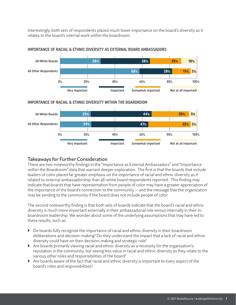Interestingly, both sets of respondents placed much lower importance on the board's diversity as it relates to the board's internal work within the boardroom.



#### IMPORTANCE OF RACIAL & ETHNIC DIVERSITY AS EXTERNAL BOARD AMBASSADORS

#### IMPORTANCE OF RACIAL & ETHNIC DIVERSITY WITHIN THE BOARDROOM



#### Takeaways for Further Consideration

There are two noteworthy findings in the "Importance as External Ambassadors" and "Importance within the Boardroom" data that warrant deeper exploration. The first is that the boards that include leaders of color placed far greater emphasis on the importance of racial and ethnic diversity as it related to external ambassadorship than all-white board respondents reported. This finding may indicate that boards that have representation from people of color may have a greater appreciation of the importance of the board's connection to the community — and the message that the organization may be sending to the community if the board does not include people of color.

The second noteworthy finding is that both sets of boards indicate that the board's racial and ethnic diversity is much more important externally in their ambassadorial role versus internally in their inboardroom leadership. We wonder about some of the underlying assumptions that may have led to these results, such as:

- Do boards fully recognize the importance of racial and ethnic diversity in their boardroom deliberations and decision-making? Do they understand the impact that a lack of racial and ethnic diversity could have on their decision-making and strategic role?
- $\blacktriangleright$  Are boards primarily viewing racial and ethnic diversity as a necessity for the organization's reputation in the community, but seeing less value in racial and ethnic diversity as they relate to the various other roles and responsibilities of the board?
- Are boards aware of the fact that racial and ethnic diversity is important to *every* aspect of the board's roles and responsibilities?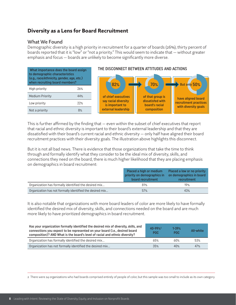## Diversity as a Lens for Board Recruitment

#### What We Found

Demographic diversity is a high priority in recruitment for a quarter of boards (26%); thirty percent of boards reported that it is "low" or "not a priority." This would seem to indicate that — without greater emphasis and focus — boards are unlikely to become significantly more diverse.



This is further affirmed by the finding that — even within the subset of chief executives that report that racial and ethnic diversity is important to their board's external leadership and that they are dissatisfied with their board's current racial and ethnic diversity — only half have aligned their board recruitment practices with their diversity goals. The illustration above highlights this disconnect.

But it is not all bad news. There is evidence that those organizations that take the time to think through and formally identify what they consider to be the ideal mix of diversity, skills, and connections they need on the board, there is much higher likelihood that they are placing emphasis on demographics in board recruitment:

|                                                          | Placed a high or medium<br>priority on demographics in<br>board recruitment | Placed a low or no priority<br>on demographics in board<br>recruitment |
|----------------------------------------------------------|-----------------------------------------------------------------------------|------------------------------------------------------------------------|
| Organization has formally identified the desired mix     | 81%                                                                         | 19%                                                                    |
| Organization has not formally identified the desired mix | 57%                                                                         | 43%                                                                    |

It is also notable that organizations with more board leaders of color are more likely to have formally identified the desired mix of diversity, skills, and connections needed on the board and are much more likely to have prioritized demographics in board recruitment.

| Has your organization formally identified the desired mix of diversity, skills, and<br>connections you expect to be represented on your board (i.e., desired board<br>composition)? AND What is the board's level of racial and ethnic diversity? |     | $1 - 39%$<br>POC. | All-white |
|---------------------------------------------------------------------------------------------------------------------------------------------------------------------------------------------------------------------------------------------------|-----|-------------------|-----------|
| Organization has formally identified the desired mix                                                                                                                                                                                              | 65% | 6በ%               | 53%       |
| Organization has not formally identified the desired mix                                                                                                                                                                                          | 35% | 40%               | 47%       |

2 There were 24 organizations who had boards comprised entirely of people of color, but this sample was too small to include as its own category.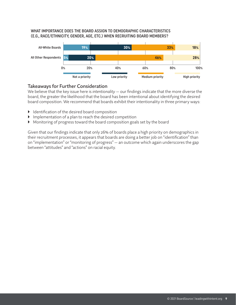#### WHAT IMPORTANCE DOES THE BOARD ASSIGN TO DEMOGRAPHIC CHARACTERISTICS (E.G., RACE/ETHNICITY, GENDER, AGE, ETC.) WHEN RECRUITING BOARD MEMBERS?



#### Takeaways for Further Consideration

We believe that the key issue here is *intentionality* — our findings indicate that the more diverse the board, the greater the likelihood that the board has been intentional about identifying the desired board composition. We recommend that boards exhibit their intentionality in three primary ways:

- $\blacktriangleright$  Identification of the desired board composition
- $\blacktriangleright$  Implementation of a plan to reach the desired competition
- Monitoring of progress toward the board composition goals set by the board

Given that our findings indicate that only 26% of boards place a high priority on demographics in their recruitment processes, it appears that boards are doing a better job on "identification" than on "implementation" or "monitoring of progress" — an outcome which again underscores the gap between "attitudes" and "actions" on racial equity.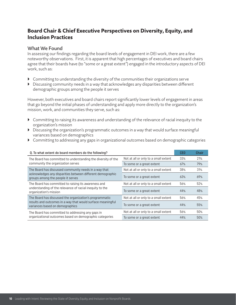# Board Chair & Chief Executive Perspectives on Diversity, Equity, and Inclusion Practices

#### What We Found

In assessing our findings regarding the board levels of engagement in DEI work, there are a few noteworthy observations. First, it is apparent that high percentages of executives and board chairs agree that their boards have (to "some or a great extent") engaged in the introductory aspects of DEI work, such as:

- $\triangleright$  Committing to understanding the diversity of the communities their organizations serve
- Discussing community needs in a way that acknowledges any disparities between different demographic groups among the people it serves

However, both executives and board chairs report significantly lower levels of engagement in areas that go beyond the initial phases of understanding and apply more directly to the organization's mission, work, and communities they serve, such as:

- Committing to raising its awareness and understanding of the relevance of racial inequity to the organization's mission
- Discussing the organization's programmatic outcomes in a way that would surface meaningful variances based on demographics
- Committing to addressing any gaps in organizational outcomes based on demographic categories

| Q. To what extent do board members do the following?                                            |                                      |     | <b>Chair</b> |
|-------------------------------------------------------------------------------------------------|--------------------------------------|-----|--------------|
| The Board has committed to understanding the diversity of the                                   | Not at all or only to a small extent | 33% | 21%          |
| community the organization serves                                                               | To some or a great extent            | 67% | 79%          |
| The Board has discussed community needs in a way that                                           | Not at all or only to a small extent | 38% | 31%          |
| acknowledges any disparities between different demographic<br>groups among the people it serves | To some or a great extent            | 63% | 69%          |
| The Board has committed to raising its awareness and                                            | Not at all or only to a small extent | 56% | 52%          |
| understanding of the relevance of racial inequity to the<br>organization's mission              | To some or a great extent            | 44% | 48%          |
| The Board has discussed the organization's programmatic                                         | Not at all or only to a small extent | 56% | 45%          |
| results and outcomes in a way that would surface meaningful<br>variances based on demographics  | To some or a great extent            | 44% | 55%          |
| The Board has committed to addressing any gaps in                                               | Not at all or only to a small extent | 56% | 50%          |
| organizational outcomes based on demographic categories                                         | To some or a great extent            | 44% | 50%          |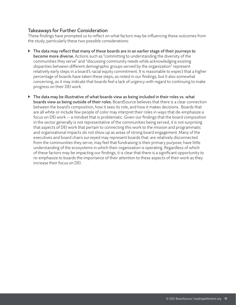#### Takeaways for Further Consideration

These findings have prompted us to reflect on what factors may be influencing these outcomes from the study, particularly these two possible considerations:

- $\blacktriangleright$  The data may reflect that many of these boards are in an earlier stage of their journeys to become more diverse. Actions such as "committing to understanding the diversity of the communities they serve" and "discussing community needs while acknowledging existing disparities between different demographic groups served by the organization" represent relatively early steps in a board's racial equity commitment. It is reasonable to expect that a higher percentage of boards have taken these steps, as noted in our findings, but it also somewhat concerning, as it may indicate that boards feel a lack of urgency with regard to continuing to make progress on their DEI work.
- $\blacktriangleright$  The data may be illustrative of what boards view as being included in their roles vs. what boards view as being outside of their roles. BoardSource believes that there is a clear connection between the board's composition, how it sees its role, and how it makes decisions. Boards that are all white or include few people of color may interpret their roles in ways that de-emphasize a focus on DEI work — a mindset that is problematic. Given our findings that the board composition in the sector generally is not representative of the communities being served, it is not surprising that aspects of DEI work that pertain to connecting this work to the mission and programmatic and organizational impacts do not show up as areas of strong board engagement. Many of the executives and board chairs surveyed may represent boards that: are relatively disconnected from the communities they serve; may feel that fundraising is their primary purpose; have little understanding of the ecosystems in which their organization is operating. Regardless of which of these factors may be impacting our findings, it is clear that there is a significant opportunity to re-emphasize to boards the importance of their attention to these aspects of their work as they increase their focus on DEI.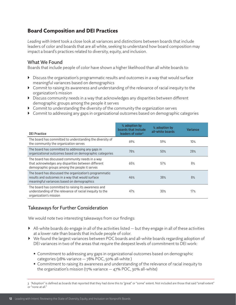# Board Composition and DEI Practices

*Leading with Intent* took a close look at variances and distinctions between boards that include leaders of color and boards that are all white, seeking to understand how board composition may impact a board's practices related to diversity, equity, and inclusion.

#### What We Found

Boards that include people of color have shown a higher likelihood than all white boards to:

- $\blacktriangleright$  Discuss the organization's programmatic results and outcomes in a way that would surface meaningful variances based on demographics
- Commit to raising its awareness and understanding of the relevance of racial inequity to the organization's mission
- Discuss community needs in a way that acknowledges any disparities between different demographic groups among the people it serves
- $\triangleright$  Commit to understanding the diversity of the community the organization serves
- Commit to addressing any gaps in organizational outcomes based on demographic categories

| <b>DEI Practice</b>                                                                                                                                       | % adoption by<br>boards that include<br>leaders of color <sup>3</sup> | % adoption by<br>all-white boards | Variance |
|-----------------------------------------------------------------------------------------------------------------------------------------------------------|-----------------------------------------------------------------------|-----------------------------------|----------|
| The board has committed to understanding the diversity of<br>the community the organization serves                                                        | 69%                                                                   | 59%                               | 10%      |
| The board has committed to addressing any gaps in<br>organizational outcomes based on demographic categories                                              | 78%                                                                   | 50%                               | 28%      |
| The board has discussed community needs in a way<br>that acknowledges any disparities between different<br>demographic groups among the people it serves  | 65%                                                                   | 57%                               | 8%       |
| The board has discussed the organization's programmatic<br>results and outcomes in a way that would surface<br>meaningful variances based on demographics | 46%                                                                   | 38%                               | 8%       |
| The board has committed to raising its awareness and<br>understanding of the relevance of racial inequity to the<br>organization's mission                | 47%                                                                   | 30%                               | 17%      |

#### Takeaways for Further Consideration

We would note two interesting takeaways from our findings:

- $\blacktriangleright$  All-white boards do engage in all of the activities listed  $-$  but they engage in all of these activities at a lower rate than boards that include people of color.
- We found the largest variances between POC boards and all-white boards regarding adoption of DEI variances in two of the areas that require the deepest levels of commitment to DEI work:
	- Commitment to addressing any gaps in organizational outcomes based on demographic categories (28% variance — 78% POC, 50% all-white )
	- Commitment to raising its awareness and understanding of the relevance of racial inequity to the organization's mission (17% variance  $-$  47% POC, 30% all-white)

<sup>3 &</sup>quot;Adoption" is defined as boards that reported that they had done this to "great" or "some" extent. Not included are those that said "small extent" or "none at all."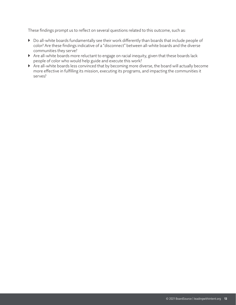These findings prompt us to reflect on several questions related to this outcome, such as:

- Do all-white boards fundamentally see their work differently than boards that include people of color? Are these findings indicative of a "disconnect" between all-white boards and the diverse communities they serve?
- Are all-white boards more reluctant to engage on racial inequity, given that these boards lack people of color who would help guide and execute this work?
- Are all-white boards less convinced that by becoming more diverse, the board will actually become more effective in fulfilling its mission, executing its programs, and impacting the communities it serves?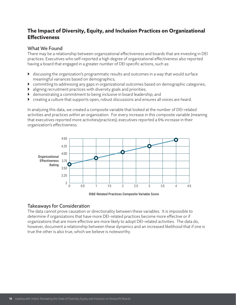# The Impact of Diversity, Equity, and Inclusion Practices on Organizational **Effectiveness**

#### What We Found

There may be a relationship between organizational effectiveness and boards that are investing in DEI practices. Executives who self-reported a high degree of organizational effectiveness also reported having a board that engaged in a greater number of DEI specific actions, such as:

- discussing the organization's programmatic results and outcomes in a way that would surface meaningful variances based on demographics;
- committing to addressing any gaps in organizational outcomes based on demographic categories;
- aligning recruitment practices with diversity goals and priorities;
- demonstrating a commitment to being inclusive in board leadership; and
- creating a culture that supports open, robust discussions and ensures all voices are heard.

In analyzing this data, we created a composite variable that looked at the number of DEI-related activities and practices within an organization. For every increase in this composite variable (meaning that executives reported more activities/practices), executives reported a 6% increase in their organization's effectiveness.



#### Takeaways for Consideration

The data cannot prove causation or directionality between these variables. It is impossible to determine if organizations that have more DEI-related practices become more effective or if organizations that are more effective are more likely to adopt DEI-related activities. The data do, however, document a relationship between these dynamics and an increased likelihood that if one is true the other is also true, which we believe is noteworthy.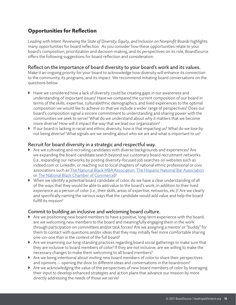# Opportunities for Reflection

*Leading with Intent: Reviewing the State of Diversity, Equity, and Inclusion on Nonprofit Boards* highlights many opportunities for board reflection. As you consider how these opportunities relate to your board's composition, prioritization and decision-making, and its perspectives on its role, BoardSource offers the following suggestions for board reflection and consideration.

#### Reflect on the importance of board diversity to your board's work and its values.

Make it an ongoing priority for your board to acknowledge how diversity will enhance its connection to the community, its programs, and its impact. We recommend initiating board conversations on the questions below:

- Have we considered how a lack of diversity could be creating gaps in our awareness and understanding of important issues? Have we compared the current composition of our board in terms of the skills, expertise, cultural/ethnic demographics, and lived experiences to the optimal composition we would like to achieve so that we include a wider range of perspectives? Does our board's composition signal a sincere commitment to understanding and sharing power with the communities we seek to serve? What do we understand about why it matters that we become more diverse? How will it impact the way that we lead our organization?
- If our board is lacking in racial and ethnic diversity, how is that impacting us? What do we lose by not being diverse? What signals are we sending about who we are and what is important to us?

#### Recruit for board diversity in a strategic and respectful way.

- Are we cultivating and recruiting candidates with diverse backgrounds and experiences? Are we expanding the board candidate search beyond our customary board recruitment networks (i.e., expanding our networks by posting diversity-focused job searches on websites such as indeed.com or LinkedIn, or reaching out to local chapters of national ethnic professional or civic associations such as [The National Black MBA Association](https://nbmbaa.org/), [The Hispanic National Bar Association](https://hnba.com/) or [The National Black Chamber of Commerce\)](https://www.nationalbcc.org/)?
- When we identify a potential board candidate of color, do we have a clear understanding of all of the ways that they would be able to add value to the board's work, in addition to their lived experience as a person of color (i.e., their skills, areas of expertise, networks, etc.)? Are we clearly and specifically naming the various ways that the candidate would add value and help the board fulfill its mission?

#### Commit to building an inclusive and welcoming board culture.

- Are we positioning new board members to have a positive, long-term experience with the board; are we welcoming new members to the board and meaningfully engaging them in the work through participation on committees and/or task forces? Are we assigning a mentor or "buddy" for them to contact with questions and/or ideas that they may initially feel more comfortable sharing one-on-one than in the context of the full board?
- Are we examining our long-standing practices regarding board social gatherings to make sure that they are inclusive to board members of color? If they are not inclusive, are we willing to make the necessary changes to make them welcoming to all board members?
- Are we being intentional about inviting new board members of color to share their perspectives and opinions — opening the door to different ideas and conversations in the boardroom?
- $\blacktriangleright$  Are we acknowledging the value of the perspectives of new board members of color by leveraging their input to develop enhanced strategies and action plans that advance our mission by more directly addressing the needs of those we serve?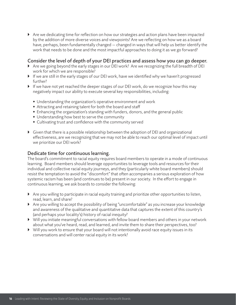Are we dedicating time for reflection on how our strategies and action plans have been impacted by the addition of more diverse voices and viewpoints? Are we reflecting on how we as a board have, perhaps, been fundamentally changed — changed in ways that will help us better identify the work that needs to be done and the most impactful approaches to doing it as we go forward?

#### Consider the level of depth of your DEI practices and assess how you can go deeper.

- Are we going beyond the early stages in our DEI work? Are we recognizing the full breadth of DEI work for which we are responsible?
- If we are still in the early stages of our DEI work, have we identified why we haven't progressed further?
- If we have not yet reached the deeper stages of our DEI work, do we recognize how this may negatively impact our ability to execute several key responsibilities, including:
	- Understanding the organization's operative environment and work
	- Attracting and retaining talent for both the board and staff
	- Enhancing the organization's standing with funders, donors, and the general public
	- Understanding how best to serve the community
	- Cultivating trust and confidence with the community served
- $\triangleright$  Given that there is a possible relationship between the adoption of DEI and organizational effectiveness, are we recognizing that we may not be able to reach our optimal level of impact until we prioritize our DEI work?

#### Dedicate time for continuous learning.

The board's commitment to racial equity requires board members to operate in a mode of continuous learning. Board members should leverage opportunities to leverage tools and resources for their individual and collective racial equity journeys, and they (particularly white board members) should resist the temptation to avoid the "discomfort" that often accompanies a serious exploration of how systemic racism has been (and continues to be) present in our society. In the effort to engage in continuous learning, we ask boards to consider the following:

- $\blacktriangleright$  Are you willing to participate in racial equity training and prioritize other opportunities to listen, read, learn, and share?
- Are you willing to accept the possibility of being "uncomfortable" as you increase your knowledge and awareness of the qualitative and quantitative data that captures the extent of this country's (and perhaps your locality's) history of racial inequity?
- Will you initiate meaningful conversations with fellow board members and others in your network about what you've heard, read, and learned, and invite them to share their perspectives, too?
- Will you work to ensure that your board will not intentionally avoid race equity issues in its conversations and will center racial equity in its work?